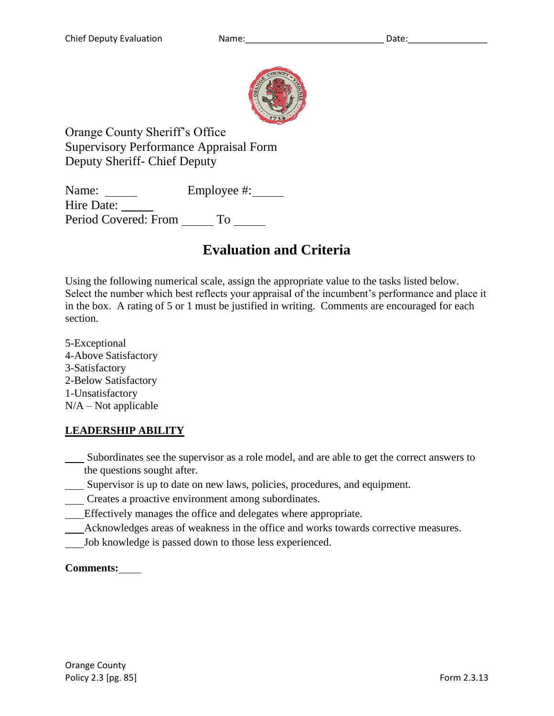

Orange County Sheriff's Office Supervisory Performance Appraisal Form Deputy Sheriff- Chief Deputy

Name: <u>\_\_</u> Employee #: \_\_\_ Hire Date: Period Covered: From To

# **Evaluation and Criteria**

Using the following numerical scale, assign the appropriate value to the tasks listed below. Select the number which best reflects your appraisal of the incumbent's performance and place it in the box. A rating of 5 or 1 must be justified in writing. Comments are encouraged for each section.

5-Exceptional 4-Above Satisfactory 3-Satisfactory 2-Below Satisfactory 1-Unsatisfactory  $N/A - Not$  applicable

## **LEADERSHIP ABILITY**

- Subordinates see the supervisor as a role model, and are able to get the correct answers to the questions sought after.
- Supervisor is up to date on new laws, policies, procedures, and equipment.
- Creates a proactive environment among subordinates.
- Effectively manages the office and delegates where appropriate.
- Acknowledges areas of weakness in the office and works towards corrective measures.
- Job knowledge is passed down to those less experienced.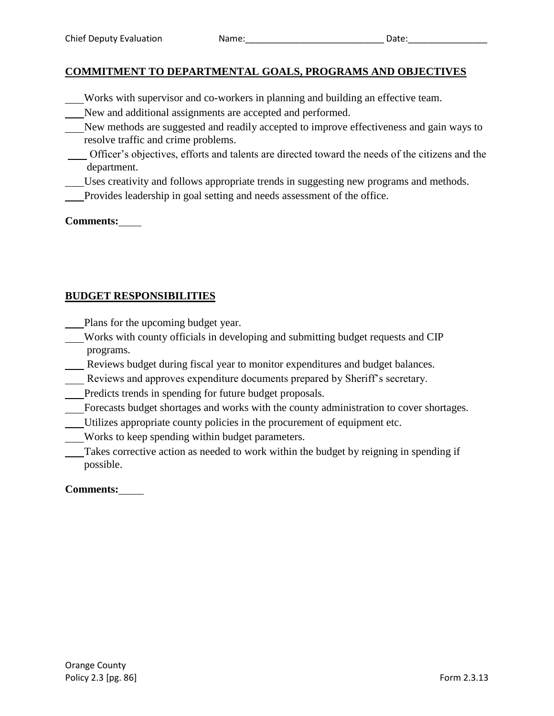#### **COMMITMENT TO DEPARTMENTAL GOALS, PROGRAMS AND OBJECTIVES**

- Works with supervisor and co-workers in planning and building an effective team.
- New and additional assignments are accepted and performed.
- New methods are suggested and readily accepted to improve effectiveness and gain ways to resolve traffic and crime problems.
- Officer's objectives, efforts and talents are directed toward the needs of the citizens and the department.
- Uses creativity and follows appropriate trends in suggesting new programs and methods.
- Provides leadership in goal setting and needs assessment of the office.

#### **Comments:**

#### **BUDGET RESPONSIBILITIES**

- Plans for the upcoming budget year.
- Works with county officials in developing and submitting budget requests and CIP programs.
- Reviews budget during fiscal year to monitor expenditures and budget balances.
- Reviews and approves expenditure documents prepared by Sheriff's secretary.
- Predicts trends in spending for future budget proposals.
- Forecasts budget shortages and works with the county administration to cover shortages.
- Utilizes appropriate county policies in the procurement of equipment etc.
- Works to keep spending within budget parameters.
- Takes corrective action as needed to work within the budget by reigning in spending if possible.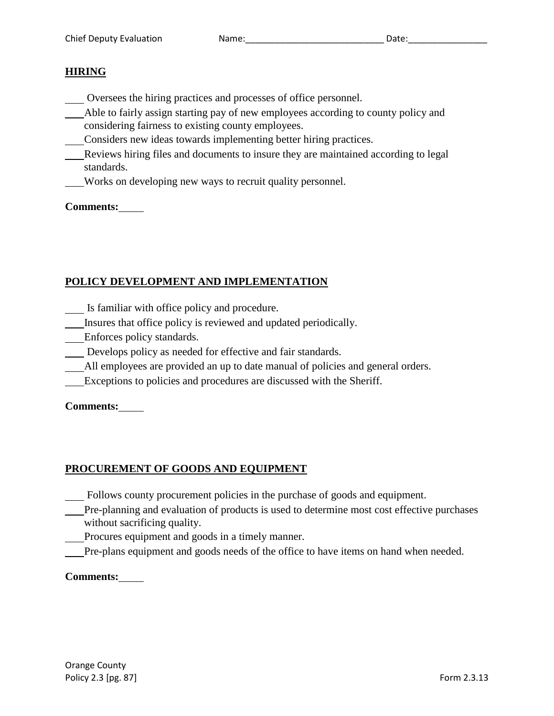#### **HIRING**

- Oversees the hiring practices and processes of office personnel.
- Able to fairly assign starting pay of new employees according to county policy and considering fairness to existing county employees.
- Considers new ideas towards implementing better hiring practices.
- Reviews hiring files and documents to insure they are maintained according to legal standards.
	- Works on developing new ways to recruit quality personnel.

#### **Comments:**

## **POLICY DEVELOPMENT AND IMPLEMENTATION**

- Is familiar with office policy and procedure.
- Insures that office policy is reviewed and updated periodically.
- Enforces policy standards.
- Develops policy as needed for effective and fair standards.
- All employees are provided an up to date manual of policies and general orders.
- Exceptions to policies and procedures are discussed with the Sheriff.

#### **Comments:**

#### **PROCUREMENT OF GOODS AND EQUIPMENT**

- Follows county procurement policies in the purchase of goods and equipment.
- Pre-planning and evaluation of products is used to determine most cost effective purchases without sacrificing quality.
- Procures equipment and goods in a timely manner.
- Pre-plans equipment and goods needs of the office to have items on hand when needed.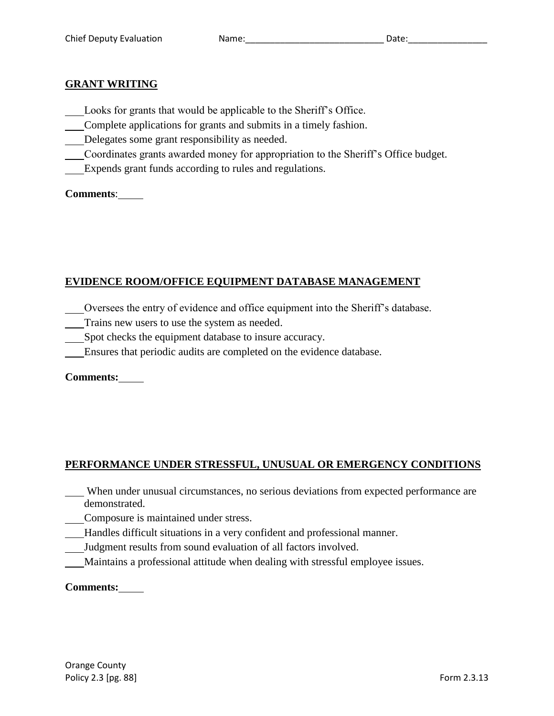#### **GRANT WRITING**

- Looks for grants that would be applicable to the Sheriff's Office.
- Complete applications for grants and submits in a timely fashion.
- Delegates some grant responsibility as needed.
- Coordinates grants awarded money for appropriation to the Sheriff's Office budget.
- Expends grant funds according to rules and regulations.

**Comments**:

#### **EVIDENCE ROOM/OFFICE EQUIPMENT DATABASE MANAGEMENT**

- Oversees the entry of evidence and office equipment into the Sheriff's database.
- Trains new users to use the system as needed.
- Spot checks the equipment database to insure accuracy.
- Ensures that periodic audits are completed on the evidence database.

**Comments:**

#### **PERFORMANCE UNDER STRESSFUL, UNUSUAL OR EMERGENCY CONDITIONS**

- When under unusual circumstances, no serious deviations from expected performance are demonstrated.
	- Composure is maintained under stress.
- Handles difficult situations in a very confident and professional manner.
- Judgment results from sound evaluation of all factors involved.
- Maintains a professional attitude when dealing with stressful employee issues.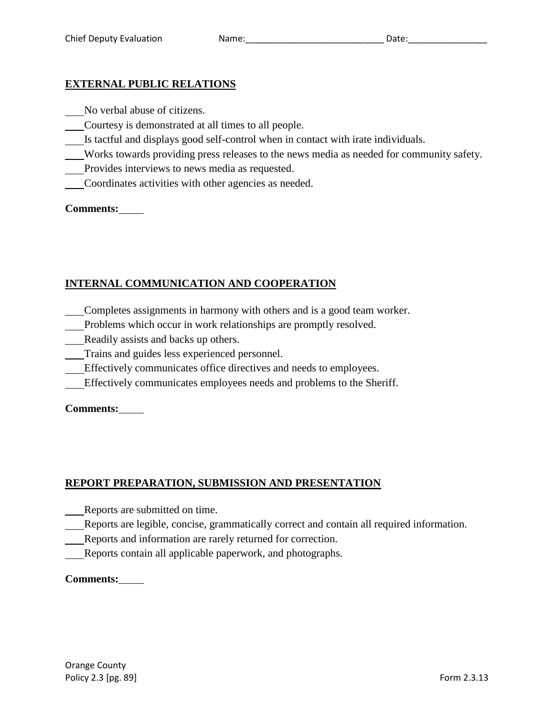### **EXTERNAL PUBLIC RELATIONS**

No verbal abuse of citizens.

- Courtesy is demonstrated at all times to all people.
- Is tactful and displays good self-control when in contact with irate individuals.
- Works towards providing press releases to the news media as needed for community safety.
- Provides interviews to news media as requested.
- Coordinates activities with other agencies as needed.

#### **Comments:**

## **INTERNAL COMMUNICATION AND COOPERATION**

- Completes assignments in harmony with others and is a good team worker.
- Problems which occur in work relationships are promptly resolved.
- Readily assists and backs up others.
- Trains and guides less experienced personnel.
- Effectively communicates office directives and needs to employees.
- Effectively communicates employees needs and problems to the Sheriff.

#### **Comments:**

## **REPORT PREPARATION, SUBMISSION AND PRESENTATION**

- Reports are submitted on time.
- Reports are legible, concise, grammatically correct and contain all required information.
- Reports and information are rarely returned for correction.
- Reports contain all applicable paperwork, and photographs.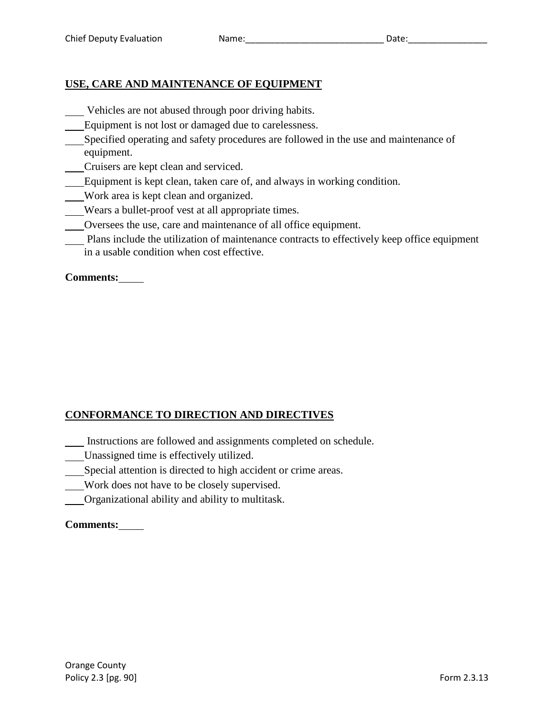## **USE, CARE AND MAINTENANCE OF EQUIPMENT**

- Vehicles are not abused through poor driving habits.
- Equipment is not lost or damaged due to carelessness.
- Specified operating and safety procedures are followed in the use and maintenance of equipment.
- Cruisers are kept clean and serviced.
- Equipment is kept clean, taken care of, and always in working condition.
- Work area is kept clean and organized.
- Wears a bullet-proof vest at all appropriate times.
- Oversees the use, care and maintenance of all office equipment.
- Plans include the utilization of maintenance contracts to effectively keep office equipment in a usable condition when cost effective.

**Comments:**

## **CONFORMANCE TO DIRECTION AND DIRECTIVES**

- Instructions are followed and assignments completed on schedule.
- Unassigned time is effectively utilized.
- Special attention is directed to high accident or crime areas.
- Work does not have to be closely supervised.
- Organizational ability and ability to multitask.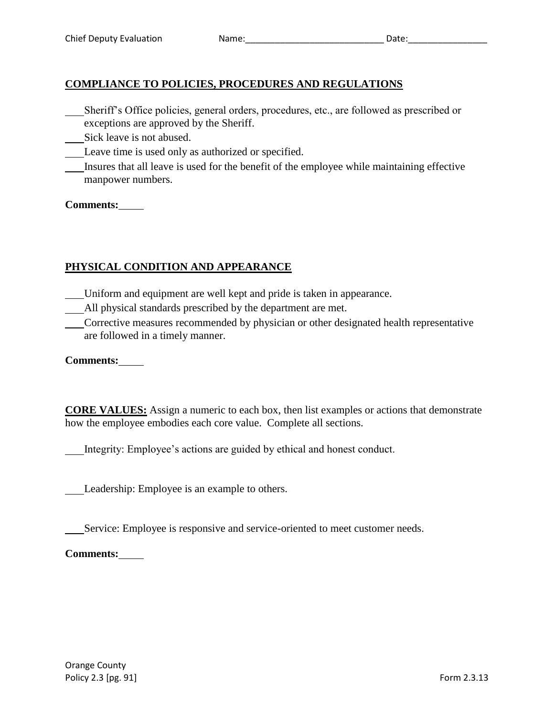## **COMPLIANCE TO POLICIES, PROCEDURES AND REGULATIONS**

- Sheriff's Office policies, general orders, procedures, etc., are followed as prescribed or exceptions are approved by the Sheriff.
- Sick leave is not abused.
- Leave time is used only as authorized or specified.
- Insures that all leave is used for the benefit of the employee while maintaining effective manpower numbers.

#### **Comments:**

## **PHYSICAL CONDITION AND APPEARANCE**

- Uniform and equipment are well kept and pride is taken in appearance.
- All physical standards prescribed by the department are met.
- Corrective measures recommended by physician or other designated health representative are followed in a timely manner.

**Comments:**

**CORE VALUES:** Assign a numeric to each box, then list examples or actions that demonstrate how the employee embodies each core value. Complete all sections.

Integrity: Employee's actions are guided by ethical and honest conduct.

Leadership: Employee is an example to others.

Service: Employee is responsive and service-oriented to meet customer needs.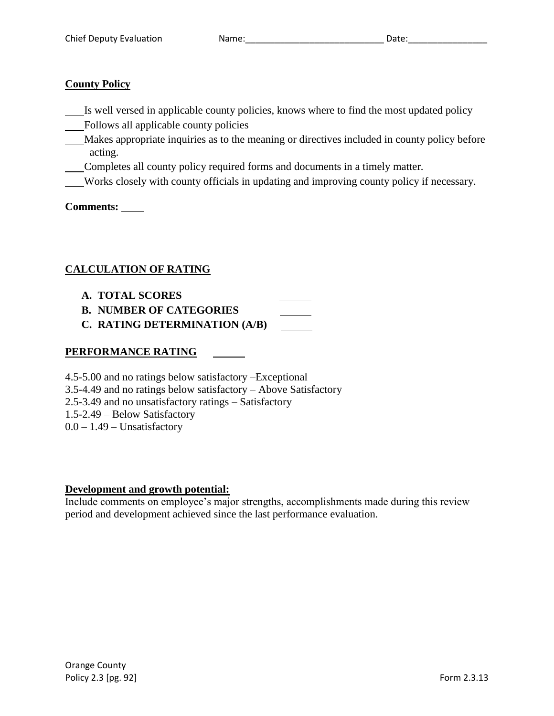#### **County Policy**

- Is well versed in applicable county policies, knows where to find the most updated policy
- Follows all applicable county policies
- Makes appropriate inquiries as to the meaning or directives included in county policy before acting.
- Completes all county policy required forms and documents in a timely matter.
- Works closely with county officials in updating and improving county policy if necessary.

**Comments:** 

#### **CALCULATION OF RATING**

- **A. TOTAL SCORES**
- **B. NUMBER OF CATEGORIES**
- **C. RATING DETERMINATION (A/B)**

#### **PERFORMANCE RATING**

4.5-5.00 and no ratings below satisfactory –Exceptional 3.5-4.49 and no ratings below satisfactory – Above Satisfactory 2.5-3.49 and no unsatisfactory ratings – Satisfactory 1.5-2.49 – Below Satisfactory  $0.0 - 1.49$  – Unsatisfactory

#### **Development and growth potential:**

Include comments on employee's major strengths, accomplishments made during this review period and development achieved since the last performance evaluation.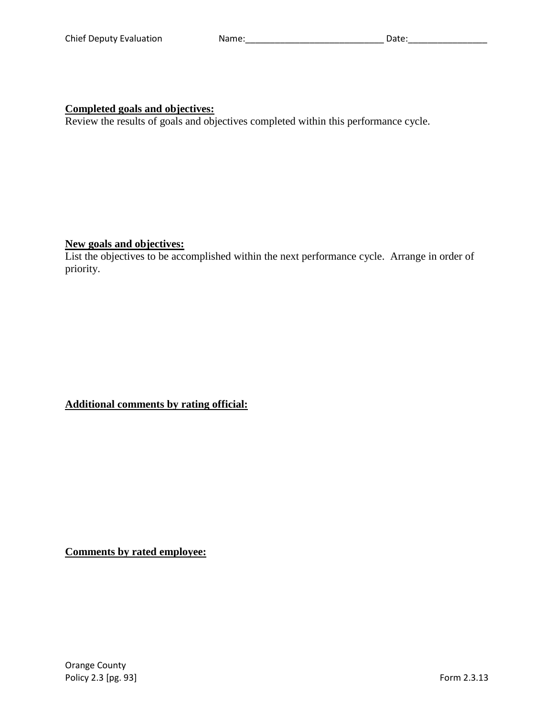#### **Completed goals and objectives:**

Review the results of goals and objectives completed within this performance cycle.

#### **New goals and objectives:**

List the objectives to be accomplished within the next performance cycle. Arrange in order of priority.

**Additional comments by rating official:**

**Comments by rated employee:**